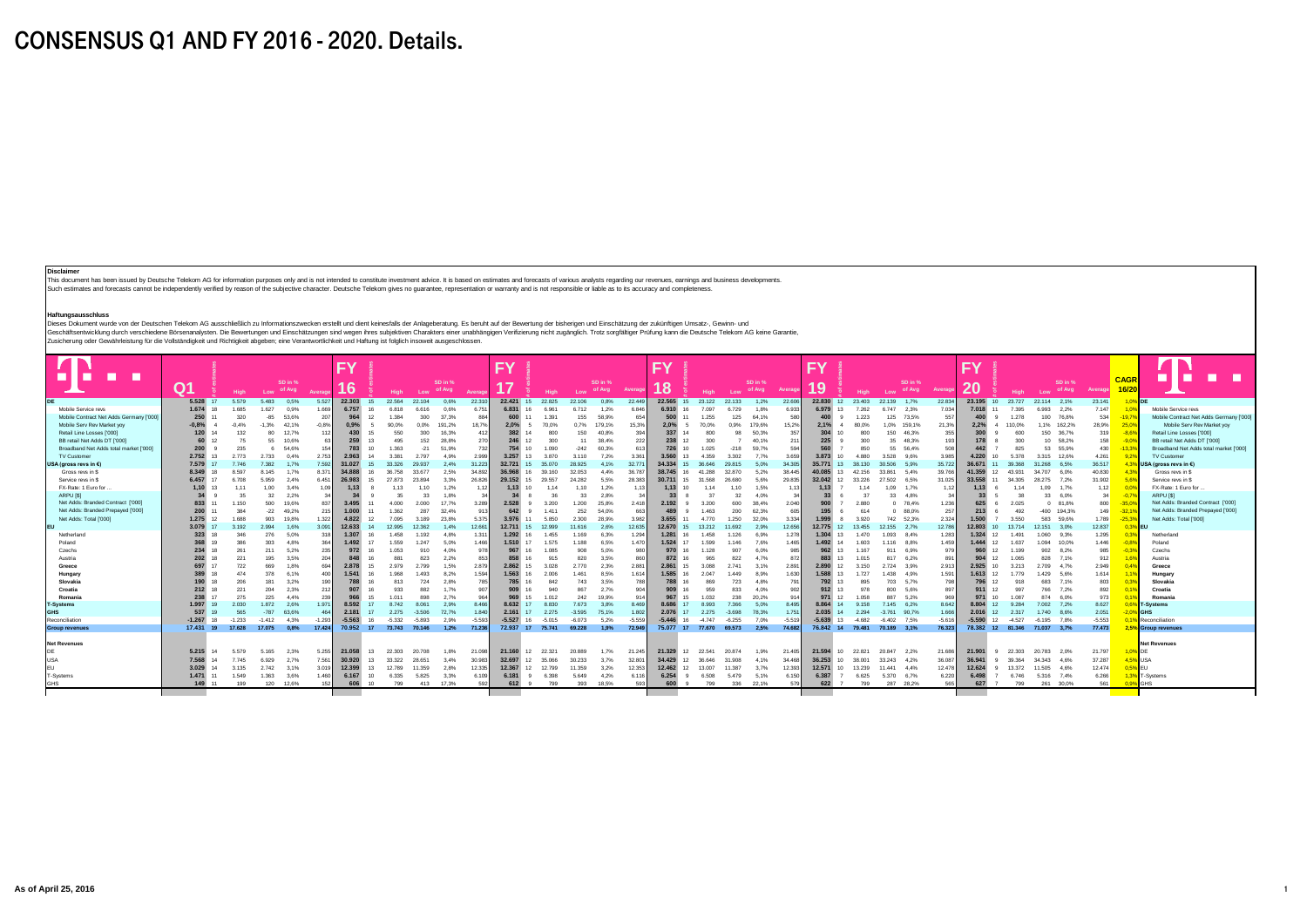## CONSENSUS Q1 AND FY 2016 - 2020. Details.

#### **Disclaimer**

This document has been issued by Deutsche Telekom AG for information purposes only and is not intended to constitute investment advice. It is based on estimates and forecasts of various analysts regarding our revenues, earnings and business developments. .<br>Such estimates and forecasts cannot be independently verified by reason of the subjective character. Deutsche Telekom gives no guarantee, representation or warranty and is not responsible or liable as to its accuracy and

## **Haftungsausschluss**

ranungsaussu-muss<br>Dieses Dokument wurde von der Deutschen Telekom AG ausschließlich zu Informationszwecken erstellt und dient keinesfalls der Anlageberatung. Es beruht auf der Bewertung der bisherigen und Einschätzung der Geschäftentwickung durch verschiedene Börsemankysten. Die Bewertungen und Einschaften und erhen eine subjektiven Charakters einer unabhängigen Verifizierung nicht zugänglich. Trotz sorgfältiger Prüfung kann die Deutsche Te

|                                         |             |          |          |                   |          | <b>FY</b>                     |                 |          |           |                   |          | FY             |                          |          |                   |          | <b>FY</b>              |                    |          |                   |          | <b>FY</b>   |                            |                              |                   |                  | <b>FY</b>   |                              |               |                   |          |                      |                                         |
|-----------------------------------------|-------------|----------|----------|-------------------|----------|-------------------------------|-----------------|----------|-----------|-------------------|----------|----------------|--------------------------|----------|-------------------|----------|------------------------|--------------------|----------|-------------------|----------|-------------|----------------------------|------------------------------|-------------------|------------------|-------------|------------------------------|---------------|-------------------|----------|----------------------|-----------------------------------------|
| n                                       | Q1          | High-    | Low      | SD in %<br>of Avg | Average  | $\overline{A}$ $\overline{B}$ |                 | High     | Low       | SD in %<br>of Avg | Average  | $\overline{A}$ | High                     | Low      | SD in %<br>of Avg | Averag   | $\overline{A}$ O<br>ıο | <b>High</b>        | Low      | SD in %<br>of Avg | Averag   | 10<br>13    | <b>High</b>                | Low                          | SD in %<br>of Avg | Average          | ററ<br>zu    | <b>High</b>                  | Low           | SD in %<br>of Avg | Average  | <b>CAGF</b><br>16/20 |                                         |
|                                         | 5,528 17    | 5.579    | 5.483    | 0.5%              | 5.527    | 22,303                        | 15              | 22.564   | 22.104    | 0.6%              | 22.310   |                | 22.421 15 22.825         | 22.106   | 0.8%              | 22.449   | 22,565 15              | 23.122             | 22.133   | 1.2%              | 22,606   | 22,830 12   | 23.403                     | 22.139 1.7%                  |                   | 22.834           | 23,195 10   | 23,727                       | 22.114 2.1%   |                   | 23.141   | 1,0% DE              |                                         |
| Mobile Service revs                     | 1.674       | 1685     | 1.627    | 0.9%              | 1.669    | 6.757                         | 16              | 6818     | 6.616     | 0.6%              | 6.751    | 6.831          | 6.961                    | 6.712    | 1.2%              | 6,846    | 6.910                  | 7.097              | 6.729    | 1.8%              | 6.933    | 6.979       | 7.262<br>13                | 6747                         | 2.3%              | 7.034            | 7.018       | 7.395                        | 6.993         | 2.2%              | 7.147    | 1.0%                 | Mobile Service revs                     |
| Mobile Contract Net Adds Germany ['000] | 250         | 320      | $-85$    | 53.6%             | 207      | 964                           | 12 <sup>2</sup> | 1384     | 300       | 37.3%             | 884      | 600            | 1.391                    | 155      | 58.9%             | 654      | 500                    | 1.255              | 125      | 64.1%             | 580      | 400         | 1.223                      |                              | 125 73.5%         | 557              | 400         | 1.278                        |               | 100 76.8%         | 534      | $-19.7$              | Mobile Contract Net Adds Germany ['000] |
| Mobile Serv Rev Market vov              | $-0.8%$     | $-0.4%$  | $-1.3%$  | 42.1%             | $-0.8%$  | 0.9%                          |                 | 90.0%    | 0.0%      | 191.2%            | 18.7%    | 2.0%           | 70.0%                    | 0.7%     | 179.1%            | 15.3%    | 2.0%                   | 70.0%              | 0.9%     | 179.6%            | 15.2%    | 2.1%        | 80.0%                      | 1.0% 159.1%                  |                   | 21.3%            | 2.2%        | 110.0%                       |               | 1.1% 162.2%       | 28.9%    | 25.0%                | Mobile Serv Rev Market vov              |
| Retail Line Losses ['000]               | 120         | 132      | 80       | 12.7%             | 112      | 430                           | 15              | 550      | 300       | 16,3%             | 412      | 382            | 800                      | 150      | 40.8%             | 394      | 337                    | 800                | 98       | 50.3%             | 357      |             | 800                        | 150                          | 46.3%             | 355              |             | 600                          | 150           | 36.7%             | 319      | $-8.69$              | Retail Line Losses ['000]               |
| BB retail Net Adds DT ['000]            | 60          | 75       | 55       | 10.6%             |          | 259                           | 13              | 495      | 152       | 28.8%             | 270      | 246            | 300<br>12                | 11       | 38.4%             | 222      | 238                    | 300<br>12          |          | 40.1%             | 211      | 225         | 300                        | 35                           | 48.3%             | 193 <sup>1</sup> |             | 300                          | 10            | 58.2%             | 158      | $-9.09$              | BB retail Net Adds DT ['000]            |
| Broadband Net Adds total market ['000]  | 200         | 235      |          | 54.6%             | 154      | 783                           | 10 <sub>1</sub> | 1.363    | $-21$     | 51.9%             | 732      |                | 1.090<br>10 <sup>1</sup> | $-242$   | 60.3%             | 613      | 726                    | 1.025<br>$10^{-1}$ | $-218$   | 59.7%             | 594      |             | 850                        | 55                           | 56.4%             | 508              | 442         | 825                          | 53            | 55.9%             | 430      | $-13.3%$             | Broadband Net Adds total market ['000]  |
| <b>TV Customer</b>                      | 2.752       | 2.773    | 2.733    | 0.4%              | 2.753    | 2.963                         | 14              | 3.381    | 2.797     | 4.9%              | 2.999    | 3.257          | 3,870<br>13              | 3.110    | 7.2%              | 3.36     | 3.560                  | 4.359<br>13        | 3.302    | 7.7%              | 3.659    | 3,873       | 4.880<br>10                | 3.528                        | 9.6%              | 3.985            | 4.220       | 5.378                        | 3.315         | 12.6%             | 4.261    | 9.29                 | TV Customer                             |
| JSA (gross revs in €)                   | 7.579       | 7.746    | 7.382    | 1.7%              | 7.592    | 31.027                        | 15              | 33.326   | 29.937    | 2.4%              | 31.223   | 32,721         | 15 35,070                | 28,925   | 4.1%              | 32.77    | 34,334                 | 15<br>36,646       | 29.815   | 5.0%              | 34.305   | 35,771      | 13<br>38.130               | 30.506 5.9%                  |                   | 35.722           | 36,671      | 39,368                       | 31.268        | 6.5%              | 36.517   | 4.3%                 | USA (gross revs in $C$ )                |
| Gross revs in \$                        | 8.349       | 8.597    | 8 1 4 5  | 1.7%              | 8.371    | 34,888                        | 16              | 36.758   | 33.677    | 2.5%              | 34.892   | 36.968         | 16 39 160                | 32.053   | 4.4%              | 36.78    | 38.745                 | 41.288<br>16       | 32,870   | 5.2%              | 38 445   | 40.085 13   | 42 156                     | 33.861                       | 5.4%              | 39,766           | 41,359      | 43 931                       | 34 70 7       | 6.0%              | 40.830   | 4.3%                 | Gross revs in \$                        |
| Service revs in \$                      | 6.457       | 6.708    | 5.959    | 2.4%              | 6.451    | 26,983                        | 15              | 27,873   | 23,894    | 3.3%              | 26.826   | 29,152         | 15 29,557                | 24.282   | 5.5%              | 28.383   | 30.711                 | 31,568<br>15       | 26,680   | 5.6%              | 29.835   | 32.042 12   | 33.226                     | 27.502 6.5%                  |                   | 31.025           | 33,558      | 34,305                       | 28.275 7.2%   |                   | 31.902   | 56                   | Service revs in \$                      |
| FX-Rate: 1 Euro for.                    | 1.10        | 1 1 1    | 1.00     | 3.4%              | 1.09     | 1.13                          |                 | 1.13     | 1.10      | 1.2%              | 1 1 2    | 1.13           | 10 <sup>1</sup><br>1.14  | 1.10     | 1.2%              | 1 1 3    | 1.13                   | 1.14<br>$10^{-1}$  | 1.10     | 1.5%              | 1 1 3    | 1.13        | 1.14                       | 1.09                         | 1.7%              | 1.12             | 1.13        | 1 1 4                        | 1.09          | 1 7%              | 1.12     | 0 <sub>0</sub>       | FX-Rate: 1 Euro for                     |
| ARPU <sub>[\$]</sub>                    | 34          | 35       | 32       | 2,2%              |          |                               |                 |          | 33        | 1.8%              | 34       |                | 36                       | 33       | 2.8%              |          | 33                     | 37                 | 32       | 4.0%              |          | 33          | 37                         | 33                           | 4.8%              | 34               | 33          | 38                           | 33            | 6.0%              | 34       | $-0.79$              | ARPU ISI                                |
| Net Adds: Branded Contract ['000]       | 833         | 1.150    | 500      | 19,6%             | 837      | 3.495                         | 11              | 4.000    | 2.000     | 17.7%             | 3.289    | 2.528          | 3.200<br>$\mathbf{Q}$    | 1.200    | 25.8%             | 2418     | 2.192                  | 3.200<br>-9        | 600      | 38.4%             | 2.040    |             | 2.880                      |                              | 0 78.4%           | 1.236            | 625         | 2.025                        |               | 0 81.8%           | 800      | $-35.09$             | Net Adds: Branded Contract ['000]       |
| Net Adds: Branded Prepayed ['000]       | 200         | 384      | $-22$    | 49.2%             | 215      | 1.000                         | 11              | 1.362    | 287       | 32.4%             | 913      | 642            | 1.411<br>$\mathbf{a}$    | 252      | 54.0%             | 663      | 489                    | 1.463              | 200      | 62.3%             | 605      | 195         | 614                        |                              | 0 88.0%           | 257              | 213         | 492                          |               | $-400$ 194.3%     | 149      | $-32.19$             | Net Adds: Branded Prepayed ['000]       |
| Net Adds: Total ['000]                  | $1.275$ 12  | 1688     | 903      | 19.8%             | 1.322    | 4.822                         | 12              | 7.095    | 3.189     | 23.8%             | 5.375    | 3.976          | 5.850<br>11              | 2.300    | 28.9%             | 3.982    | 3.655                  | 4.770<br>11        | 1.250    | 32.0%             | 3.334    | 1.999       | 3.920                      |                              | 742 52.3%         | 2.324            | 1.500       | 3.550                        | 583           | 59.6%             | 1,789    | $-25,39$             | Net Adds: Total ['000]                  |
|                                         | 3.079       | 3.192    | 2.994    | 1.6%              | 3.091    | 12.633                        |                 | 12.995   | 12.362    | 1.4%              | 12.661   | 12.711         | 12.999<br>15             | 11.616   | 2.6%              | 12.635   | 12,670                 | 13.212<br>15       | 11.692   | 2.9%              | 12.656   | 12.775 12   | 13.455                     | 12.155 2.7%                  |                   | 12.786           | 12,803      | 13,714                       | 12.151        | 3.0%              | 12.837   | 0.3% EU              |                                         |
| Netherland                              | 323         | 346      | 276      | 5.0%              | 318      | 1.307                         | 16              | 1.458    | 1.192     | 4.8%              | 1.31     | 1.292          | 1.455<br>16              | 1.169    | 6.3%              | 1.294    | 1.281                  | 1.458<br>16        | 1.126    | 6.9%              | 1.278    | 1.304       | 1470<br>13                 | 1.093 8.4%                   |                   | 1.283            | 1.324       | 1.491                        | 1.060         | 9.3%              | 1.295    | 03                   | Netherland                              |
| Poland                                  | 368         | 386      | 303      | 4.8%              | 364      | 1.492                         | 17              | 1.559    | 1.247     | 5.0%              | 1.466    | 1.510          | 17<br>1.575              | 1.188    | 6.5%              | 1.470    | 1.524                  | 1,599<br>17        | 1.146    | 7.6%              | 1 465    | 1.492 14    | 1.603                      | 1.116 8.8%                   |                   | 1.459            | 1.444       | 1.637<br>12                  | 1.094         | 10.0%             | 1.446    | -0.8                 | Poland                                  |
| Czechs                                  | 234         | 261      | 211      | 5.2%              | 235      | 972                           | 16              | 1.053    | 910       | 4.0%              | 978      |                | 1.085<br>16              | 908      | 5.0%              | 980      | 970                    | 1.128<br>16        | 907      | 6.0%              | 985      | 962 13      | 1.167                      | 911                          | 6.9%              | 979              |             | 1.199                        | 902           | 8.2%              | 985      | $-0.39$              | Czechs                                  |
| Austria                                 | 202         | 221      | 195      | 3.5%              | 204      | 848                           | 16              | 881      | 823       | 2.2%              | 853      |                | 915<br>16                | 820      | 3.5%              | 86       | 872                    | 965                | 822      | 4.7%              | 872      | 883 13      | 1.015                      | 817                          | 6.2%              | 891              |             | 1.065                        | 828           | 7.1%              | 912      | 1.6%                 | Austria                                 |
| Greece                                  | 697         | 722      | 669      | 1.8%              | 694      | 2.878                         | 15              | 2.979    | 2.799     | 1.5%              | 2.879    | 2.862          | 3.028<br>15              | 2.770    | 2,3%              | 2.881    | 2.861                  | 3.088<br>15        | 2.741    | 3.1%              | 2.891    | 2,890 12    | 3.150                      | 2.724                        | 3.9%              | 2.913            | 2.925       | 3.213<br>$10^{-1}$           | 2.709         | 4.7%              | 2.949    | 04                   | Greece                                  |
| Hungary                                 |             | 474      | 378      | 6.1%              | 400      | 1.541                         | 16              | 1.968    | 1.493     | 8.2%              | 1.594    | 1.563          | 2.006                    | 1.461    | 8.5%              | 1.614    | 1.585                  | 2.047<br>16        | 1.449    | 8.9%              | 1.630    | $.588$ 13   | 1.727                      | 1.438                        | 4.9%              | 1.591            | 1.613       | 1 7 7 9                      | 1.429         | 5.6%              | 1.614    | 1.19                 | Hungary                                 |
| Slovakia                                | 190         | 206      | 181      | 3.2%              | 190      | 788                           | 16              | 813      | 724       | 2.8%              | 785      | 785            | 842<br>16                | 743      | 3.5%              | 788      | 788                    | 869                | 723      | 4.8%              | 791      | 792 13      | 895                        | 703 5.7%                     |                   | 798              |             | 918                          | 683           | 7.1%              | 803      | $0.3^{\circ}$        | Slovakia                                |
| Croatia                                 | 212         | 221      | 204      | 2.3%              | 212      | 907                           | 16              | 933      | 882       | 1.7%              | 907      |                | 940                      | 867      | 2.7%              | 904      | 909                    | 959<br>16          | 833      | 4.0%              | 902      | $912$ 13    | 978                        | 800                          | 5.6%              | 897              |             | 997                          | 766           | 7.2%              | 892      | 0.19                 | Croatia                                 |
| Romania                                 | 238         | 275      | 225      | 4.4%              | 239      |                               | 15              | 1.011    | 898       | 2.7%              | 964      |                | 1.012<br>15              | 242      | 19.9%             | 914      | 967                    | 1.032<br>15        | 238      | 20.2%             | 914      | 971         | 1.058<br>12                | 887                          | 5.2%              | 969              |             | 1.087<br>10                  | 874           | 6.0%              | 973      | 0.19                 | Romani                                  |
| -Systems                                | 1.997       | 2.030    | 1.872    | 2.6%              | 1.971    | 8.592                         | 17              | 8.742    | 8.061     | 2.9%              | 8.466    | 8.632          | 8.830<br>17              | 7.673    | 3.8%              | 8.469    | 8.686                  | 8.993<br>17        | 7,366    | 5.0%              | 8 4 9 5  | 8.864 14    | 9.158                      | 7.145                        | 6.2%              | 8.642            | 8.804       | 9.284<br>12 <sup>7</sup>     | 7.002         | 7.2%              | 8.627    |                      | 0.6% T-Systems                          |
|                                         | 537         | 565      | $-787$   | 63.6%             | 464      | 2.181                         | 17              | 2.275    | $-3.506$  | 72.7%             | 1.840    | 2.161 17       | 2.275                    | $-3.595$ | 75.1%             | 1.802    | 2.076                  | 17<br>2.275        | $-3.698$ | 78.3%             | 1.751    | 2.035 14    | 2.294                      | $-3.761$ 90.7%               |                   | 1.666            | 2.016 12    | 2.317                        | 1.740 8.6%    |                   | 2.051    | $-2.09$              | <b>GHS</b>                              |
| Reconciliation                          | $-1.267$ 18 | $-1.233$ | $-1.412$ | 4.3%              | $-1.293$ | $-5.563$                      | 16              | $-5.332$ | $-5.893$  | 2.9%              | $-5.593$ | $-5.527$ 16    | $-5.015$                 | $-6.073$ | 5.2%              | $-5.559$ | $-5.446$               | $-4.747$<br>16     | $-6.255$ | 7.0%              | $-5.519$ | $-5.639$ 13 | $-4.682$                   | $-6.402$ $7.5\%$             |                   | $-5.616$         | $-5.590$ 12 | $-4.527$                     | $-6.195$ 7,8% |                   | $-5.553$ | 0.19                 | Reconciliation                          |
| <b>Group revenues</b>                   | 17,431 19   | 17,628   | 17.075   | 0.8%              | 17,424   | 70.952 17 73.743 70.146       |                 |          |           | 1.2%              | 71.236   |                | 72.937 17 75.741         | 69,228   | 1.9%              | 72,949   |                        | 75.077 17 77.670   | 69,573   | 2.5%              | 74,682   |             |                            | 76.842 14 79.481 70.189 3.1% |                   | 76.323           |             | 78.382 12 81.346 71.037 3.7% |               |                   | 77,473   |                      | 2,5% Group revenues                     |
| <b>Net Revenues</b>                     |             |          |          |                   |          |                               |                 |          |           |                   |          |                |                          |          |                   |          |                        |                    |          |                   |          |             |                            |                              |                   |                  |             |                              |               |                   |          |                      | <b>Net Revenues</b>                     |
| DE                                      | 5.215 14    | 5.579    | 5.165    | 2.3%              | 5.255    | 21.058                        | 13              | 22,303   | 20,708    | 1.8%              | 21.098   | 21.160         | 12 22.321                | 20,889   | 1.7%              | 21.245   |                        | 21.329 12 22.541   | 20,874   | 1.9%              | 21.405   | 21,594 10   | 22.821                     | 20.847 2,2%                  |                   | 21,686           | 21.901      | 9 22.303                     | 20.783 2.0%   |                   | 21,797   | 1.0%                 | <b>IDE</b>                              |
|                                         |             |          |          |                   |          |                               |                 |          |           |                   |          |                |                          |          |                   |          |                        |                    |          |                   |          |             |                            |                              |                   |                  |             |                              |               |                   |          |                      |                                         |
| <b>USA</b>                              | 7.568       | 7.745    | 6.929    | 2.7%              | 7.561    | 30,920                        | 13              | 33,322   | 28.651    | 3.4%              | 30,983   | 32.697         | 12 35,066                | 30.233   | 3.7%              | 32.801   | 34,429                 | 36,646<br>12       | 31,908   | 4.1%              | 34,468   | 36,253 10   | 38,001                     | 33.243 4.2%                  |                   | 36.087           | 36,941      | 39,364                       | 34.343 4.6%   |                   | 37.287   | 4.5%                 | <b>USA</b>                              |
|                                         | 3.029       | 3.135    | 2.742    | 3.1%              | 3.019    | 12.399                        | 13              | 12.789   | 11,359    | 2.8%              | 12.335   | 12,367         | 12 12.799                | 11,359   | 3.2%              | 12.353   | 12,462                 | 12<br>13,007       | 11,387   | 3.7%              | 12.393   | 12,571      | 10 <sup>10</sup><br>13,239 | 11.441 4.4%                  |                   | 12,478           | 12,624      | 13,372<br>$\alpha$           | 11.505 4.6%   |                   | 12,474   | 0.5%                 | <b>EU</b>                               |
| -Systems                                | 1.471       | 1.549    | 1.363    | 3.6%              | 1.460    | 6.167                         | 10              | 6.335    | 5.825     | 3.3%              | 6.109    | 6.181          | 6,398<br>$\mathbf{Q}$    | 5,649    | 4.2%              | 6.116    | 6.254                  | 6,508<br>-9        | 5.479    | 5.1%              | 6.150    | 6,387       | 6.625                      | 5.370 6.7%                   |                   | 6.220            | 6,498       | 6.746                        | 5.316 7.4%    |                   | 6.266    | 1,39                 | T-System:                               |
| GHS                                     | 149 11      | 199      |          | 120 12,6%         | 152      | 606                           | 10              | 799      | 413 17,3% |                   | 592      | 612 9          | 799                      | 393      | 18,5%             | 593      | 600                    | 799                | 336      | 22,1%             | 579      | 622 7       | 799                        | 287 28,2%                    |                   | 565              | 627         | 799                          |               | 261 30,0%         | 561      | 0.9% GHS             |                                         |
|                                         |             |          |          |                   |          |                               |                 |          |           |                   |          |                |                          |          |                   |          |                        |                    |          |                   |          |             |                            |                              |                   |                  |             |                              |               |                   |          |                      |                                         |